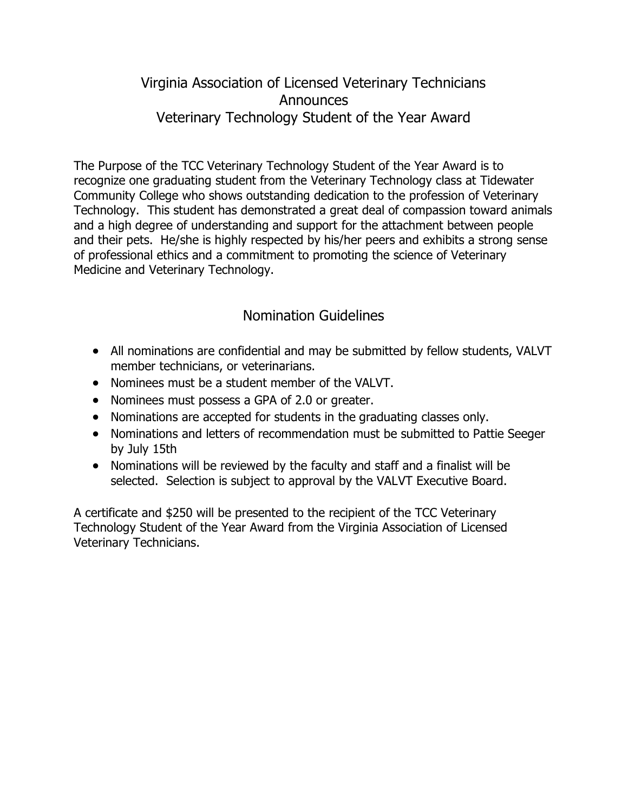## Virginia Association of Licensed Veterinary Technicians **Announces** Veterinary Technology Student of the Year Award

The Purpose of the TCC Veterinary Technology Student of the Year Award is to recognize one graduating student from the Veterinary Technology class at Tidewater Community College who shows outstanding dedication to the profession of Veterinary Technology. This student has demonstrated a great deal of compassion toward animals and a high degree of understanding and support for the attachment between people and their pets. He/she is highly respected by his/her peers and exhibits a strong sense of professional ethics and a commitment to promoting the science of Veterinary Medicine and Veterinary Technology.

## Nomination Guidelines

- All nominations are confidential and may be submitted by fellow students, VALVT member technicians, or veterinarians.
- Nominees must be a student member of the VALVT.
- Nominees must possess a GPA of 2.0 or greater.
- Nominations are accepted for students in the graduating classes only.
- Nominations and letters of recommendation must be submitted to Pattie Seeger by July 15th
- Nominations will be reviewed by the faculty and staff and a finalist will be selected. Selection is subject to approval by the VALVT Executive Board.

A certificate and \$250 will be presented to the recipient of the TCC Veterinary Technology Student of the Year Award from the Virginia Association of Licensed Veterinary Technicians.